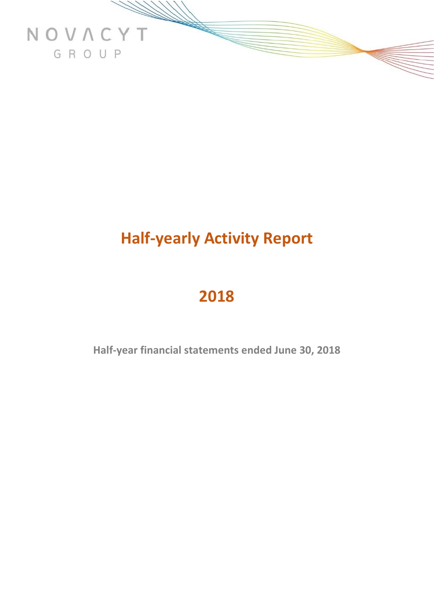

# **Half-yearly Activity Report**

# **2018**

**Half-year financial statements ended June 30, 2018**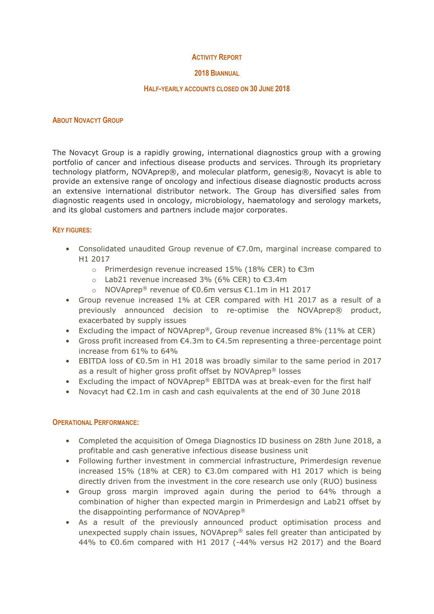### **ACTIVITY REPORT**

### **2018 BIANNUAL**

#### **HALF-YEARLY ACCOUNTS CLOSED ON 30 JUNE 2018**

#### **ABOUT NOVACYT GROUP**

The Novacyt Group is a rapidly growing, international diagnostics group with a growing portfolio of cancer and infectious disease products and services. Through its proprietary technology platform, NOVAprep®, and molecular platform, genesig®, Novacyt is able to provide an extensive range of oncology and infectious disease diagnostic products across an extensive international distributor network. The Group has diversified sales from diagnostic reagents used in oncology, microbiology, haematology and serology markets, and its global customers and partners include major corporates.

### **KEY FIGURES:**

- Consolidated unaudited Group revenue of €7.0m, marginal increase compared to H1 2017
	- o Primerdesign revenue increased 15% (18% CER) to €3m
	- o Lab21 revenue increased 3% (6% CER) to €3.4m
	- o NOVAprep® revenue of €0.6m versus €1.1m in H1 2017
- Group revenue increased 1% at CER compared with H1 2017 as a result of a previously announced decision to re-optimise the NOVAprep® product, exacerbated by supply issues
- Excluding the impact of NOVAprep®, Group revenue increased 8% (11% at CER)
- Gross profit increased from  $\epsilon$ 4.3m to  $\epsilon$ 4.5m representing a three-percentage point increase from 61% to 64%
- EBITDA loss of €0.5m in H1 2018 was broadly similar to the same period in 2017 as a result of higher gross profit offset by NOVAprep® losses
- Excluding the impact of NOVAprep® EBITDA was at break-even for the first half
- Novacyt had €2.1m in cash and cash equivalents at the end of 30 June 2018

### **OPERATIONAL PERFORMANCE:**

- Completed the acquisition of Omega Diagnostics ID business on 28th June 2018, a profitable and cash generative infectious disease business unit
- Following further investment in commercial infrastructure, Primerdesign revenue increased 15% (18% at CER) to €3.0m compared with H1 2017 which is being directly driven from the investment in the core research use only (RUO) business
- Group gross margin improved again during the period to 64% through a combination of higher than expected margin in Primerdesign and Lab21 offset by the disappointing performance of NOVAprep®
- As a result of the previously announced product optimisation process and unexpected supply chain issues, NOVAprep® sales fell greater than anticipated by 44% to €0.6m compared with H1 2017 ( $-44%$  versus H2 2017) and the Board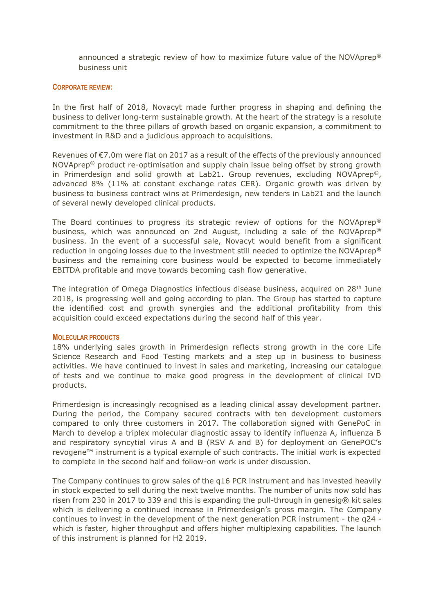announced a strategic review of how to maximize future value of the NOVAprep® business unit

#### **CORPORATE REVIEW:**

In the first half of 2018, Novacyt made further progress in shaping and defining the business to deliver long-term sustainable growth. At the heart of the strategy is a resolute commitment to the three pillars of growth based on organic expansion, a commitment to investment in R&D and a judicious approach to acquisitions.

Revenues of €7.0m were flat on 2017 as a result of the effects of the previously announced NOVAprep® product re-optimisation and supply chain issue being offset by strong growth in Primerdesign and solid growth at Lab21. Group revenues, excluding NOVAprep<sup>®</sup>, advanced 8% (11% at constant exchange rates CER). Organic growth was driven by business to business contract wins at Primerdesign, new tenders in Lab21 and the launch of several newly developed clinical products.

The Board continues to progress its strategic review of options for the NOVAprep® business, which was announced on 2nd August, including a sale of the NOVAprep® business. In the event of a successful sale, Novacyt would benefit from a significant reduction in ongoing losses due to the investment still needed to optimize the NOVAprep® business and the remaining core business would be expected to become immediately EBITDA profitable and move towards becoming cash flow generative.

The integration of Omega Diagnostics infectious disease business, acquired on  $28<sup>th</sup>$  June 2018, is progressing well and going according to plan. The Group has started to capture the identified cost and growth synergies and the additional profitability from this acquisition could exceed expectations during the second half of this year.

#### **MOLECULAR PRODUCTS**

18% underlying sales growth in Primerdesign reflects strong growth in the core Life Science Research and Food Testing markets and a step up in business to business activities. We have continued to invest in sales and marketing, increasing our catalogue of tests and we continue to make good progress in the development of clinical IVD products.

Primerdesign is increasingly recognised as a leading clinical assay development partner. During the period, the Company secured contracts with ten development customers compared to only three customers in 2017. The collaboration signed with GenePoC in March to develop a triplex molecular diagnostic assay to identify influenza A, influenza B and respiratory syncytial virus A and B (RSV A and B) for deployment on GenePOC's revogene™ instrument is a typical example of such contracts. The initial work is expected to complete in the second half and follow-on work is under discussion.

The Company continues to grow sales of the q16 PCR instrument and has invested heavily in stock expected to sell during the next twelve months. The number of units now sold has risen from 230 in 2017 to 339 and this is expanding the pull-through in genesig $\circledR$  kit sales which is delivering a continued increase in Primerdesign's gross margin. The Company continues to invest in the development of the next generation PCR instrument - the q24 which is faster, higher throughput and offers higher multiplexing capabilities. The launch of this instrument is planned for H2 2019.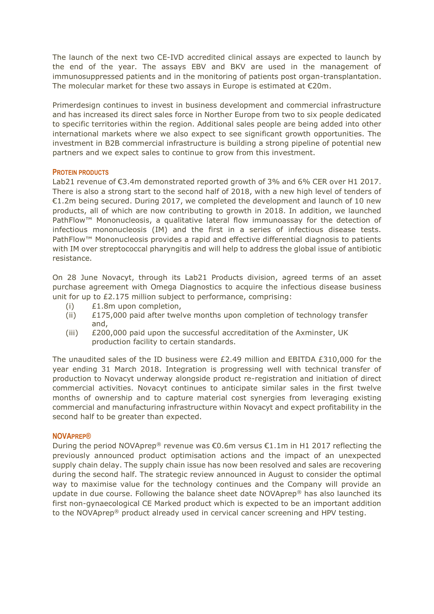The launch of the next two CE-IVD accredited clinical assays are expected to launch by the end of the year. The assays EBV and BKV are used in the management of immunosuppressed patients and in the monitoring of patients post organ-transplantation. The molecular market for these two assays in Europe is estimated at  $\epsilon$ 20m.

Primerdesign continues to invest in business development and commercial infrastructure and has increased its direct sales force in Norther Europe from two to six people dedicated to specific territories within the region. Additional sales people are being added into other international markets where we also expect to see significant growth opportunities. The investment in B2B commercial infrastructure is building a strong pipeline of potential new partners and we expect sales to continue to grow from this investment.

## **PROTEIN PRODUCTS**

Lab21 revenue of  $\epsilon$ 3.4m demonstrated reported growth of 3% and 6% CER over H1 2017. There is also a strong start to the second half of 2018, with a new high level of tenders of €1.2m being secured. During 2017, we completed the development and launch of 10 new products, all of which are now contributing to growth in 2018. In addition, we launched PathFlow™ Mononucleosis, a qualitative lateral flow immunoassay for the detection of infectious mononucleosis (IM) and the first in a series of infectious disease tests. PathFlow™ Mononucleosis provides a rapid and effective differential diagnosis to patients with IM over streptococcal pharyngitis and will help to address the global issue of antibiotic resistance.

On 28 June Novacyt, through its Lab21 Products division, agreed terms of an asset purchase agreement with Omega Diagnostics to acquire the infectious disease business unit for up to £2.175 million subject to performance, comprising:

- (i) £1.8m upon completion,
- (ii) £175,000 paid after twelve months upon completion of technology transfer and,
- (iii) £200,000 paid upon the successful accreditation of the Axminster, UK production facility to certain standards.

The unaudited sales of the ID business were £2.49 million and EBITDA £310,000 for the year ending 31 March 2018. Integration is progressing well with technical transfer of production to Novacyt underway alongside product re-registration and initiation of direct commercial activities. Novacyt continues to anticipate similar sales in the first twelve months of ownership and to capture material cost synergies from leveraging existing commercial and manufacturing infrastructure within Novacyt and expect profitability in the second half to be greater than expected.

### **NOVAPREP®**

During the period NOVAprep<sup>®</sup> revenue was €0.6m versus €1.1m in H1 2017 reflecting the previously announced product optimisation actions and the impact of an unexpected supply chain delay. The supply chain issue has now been resolved and sales are recovering during the second half. The strategic review announced in August to consider the optimal way to maximise value for the technology continues and the Company will provide an update in due course. Following the balance sheet date NOVAprep® has also launched its first non-gynaecological CE Marked product which is expected to be an important addition to the NOVAprep® product already used in cervical cancer screening and HPV testing.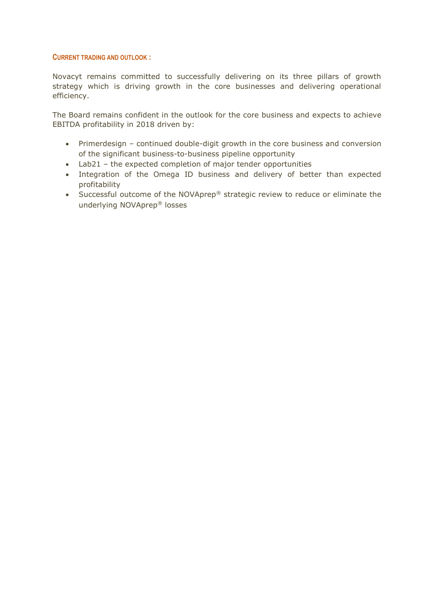#### **CURRENT TRADING AND OUTLOOK :**

Novacyt remains committed to successfully delivering on its three pillars of growth strategy which is driving growth in the core businesses and delivering operational efficiency.

The Board remains confident in the outlook for the core business and expects to achieve EBITDA profitability in 2018 driven by:

- Primerdesign continued double-digit growth in the core business and conversion of the significant business-to-business pipeline opportunity
- Lab21 the expected completion of major tender opportunities
- Integration of the Omega ID business and delivery of better than expected profitability
- Successful outcome of the NOVAprep® strategic review to reduce or eliminate the underlying NOVAprep® losses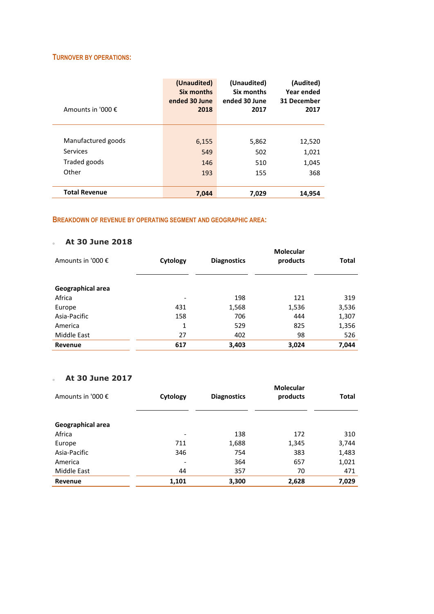#### **TURNOVER BY OPERATIONS:**

| Amounts in '000 €    | (Unaudited)<br>Six months<br>ended 30 June<br>2018 | (Unaudited)<br>Six months<br>ended 30 June<br>2017 | (Audited)<br>Year ended<br>31 December<br>2017 |
|----------------------|----------------------------------------------------|----------------------------------------------------|------------------------------------------------|
|                      |                                                    |                                                    |                                                |
| Manufactured goods   | 6,155                                              | 5,862                                              | 12,520                                         |
| Services             | 549                                                | 502                                                | 1,021                                          |
| Traded goods         | 146                                                | 510                                                | 1,045                                          |
| Other                | 193                                                | 155                                                | 368                                            |
|                      |                                                    |                                                    |                                                |
| <b>Total Revenue</b> | 7,044                                              | 7,029                                              | 14,954                                         |

## **BREAKDOWN OF REVENUE BY OPERATING SEGMENT AND GEOGRAPHIC AREA:**

## <sup>o</sup> **At 30 June 2018**

| Amounts in '000 € | Cytology                 | <b>Diagnostics</b> | <b>Molecular</b><br>products | Total |
|-------------------|--------------------------|--------------------|------------------------------|-------|
| Geographical area |                          |                    |                              |       |
| Africa            | $\overline{\phantom{a}}$ | 198                | 121                          | 319   |
| Europe            | 431                      | 1,568              | 1,536                        | 3,536 |
| Asia-Pacific      | 158                      | 706                | 444                          | 1,307 |
| America           | 1                        | 529                | 825                          | 1,356 |
| Middle East       | 27                       | 402                | 98                           | 526   |
| Revenue           | 617                      | 3,403              | 3,024                        | 7,044 |

# <sup>o</sup> **At 30 June 2017**

| Amounts in '000 € | Cytology                 | <b>Diagnostics</b> | <b>Molecular</b><br>products | Total |
|-------------------|--------------------------|--------------------|------------------------------|-------|
| Geographical area |                          |                    |                              |       |
| Africa            | $\overline{\phantom{a}}$ | 138                | 172                          | 310   |
| Europe            | 711                      | 1,688              | 1,345                        | 3,744 |
| Asia-Pacific      | 346                      | 754                | 383                          | 1,483 |
| America           | ٠                        | 364                | 657                          | 1,021 |
| Middle East       | 44                       | 357                | 70                           | 471   |
| Revenue           | 1,101                    | 3,300              | 2,628                        | 7,029 |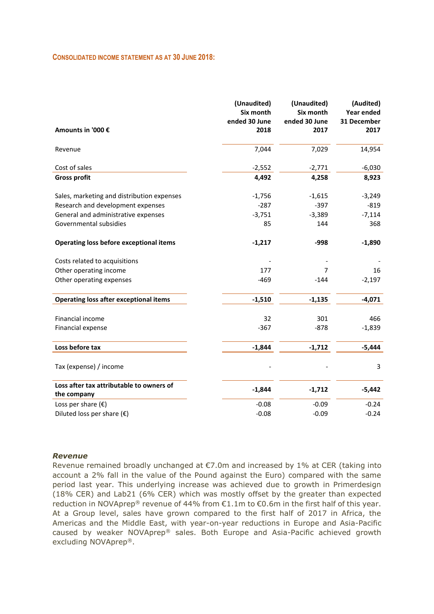#### **CONSOLIDATED INCOME STATEMENT AS AT 30 JUNE 2018:**

| Amounts in '000 €                                       | (Unaudited)<br>Six month<br>ended 30 June<br>2018 | (Unaudited)<br>Six month<br>ended 30 June<br>2017 | (Audited)<br>Year ended<br>31 December<br>2017 |
|---------------------------------------------------------|---------------------------------------------------|---------------------------------------------------|------------------------------------------------|
| Revenue                                                 | 7,044                                             | 7,029                                             | 14,954                                         |
| Cost of sales                                           | $-2,552$                                          | $-2,771$                                          | $-6,030$                                       |
| <b>Gross profit</b>                                     | 4,492                                             | 4,258                                             | 8,923                                          |
| Sales, marketing and distribution expenses              | $-1,756$                                          | $-1,615$                                          | $-3,249$                                       |
| Research and development expenses                       | $-287$                                            | $-397$                                            | $-819$                                         |
| General and administrative expenses                     | $-3,751$                                          | $-3,389$                                          | $-7,114$                                       |
| Governmental subsidies                                  | 85                                                | 144                                               | 368                                            |
| Operating loss before exceptional items                 | $-1,217$                                          | $-998$                                            | $-1,890$                                       |
| Costs related to acquisitions                           |                                                   |                                                   |                                                |
| Other operating income                                  | 177                                               | 7                                                 | 16                                             |
| Other operating expenses                                | $-469$                                            | $-144$                                            | $-2,197$                                       |
| <b>Operating loss after exceptional items</b>           | $-1,510$                                          | $-1,135$                                          | $-4,071$                                       |
| Financial income                                        | 32                                                | 301                                               | 466                                            |
| Financial expense                                       | $-367$                                            | $-878$                                            | $-1,839$                                       |
| Loss before tax                                         | $-1,844$                                          | $-1,712$                                          | $-5,444$                                       |
| Tax (expense) / income                                  |                                                   |                                                   | 3                                              |
| Loss after tax attributable to owners of<br>the company | $-1,844$                                          | $-1,712$                                          | $-5,442$                                       |
| Loss per share $(\epsilon)$                             | $-0.08$                                           | $-0.09$                                           | $-0.24$                                        |
| Diluted loss per share $(\epsilon)$                     | $-0.08$                                           | $-0.09$                                           | $-0.24$                                        |
|                                                         |                                                   |                                                   |                                                |

#### *Revenue*

Revenue remained broadly unchanged at €7.0m and increased by 1% at CER (taking into account a 2% fall in the value of the Pound against the Euro) compared with the same period last year. This underlying increase was achieved due to growth in Primerdesign (18% CER) and Lab21 (6% CER) which was mostly offset by the greater than expected reduction in NOVAprep® revenue of 44% from  $£1.1m$  to  $€0.6m$  in the first half of this year. At a Group level, sales have grown compared to the first half of 2017 in Africa, the Americas and the Middle East, with year-on-year reductions in Europe and Asia-Pacific caused by weaker NOVAprep® sales. Both Europe and Asia-Pacific achieved growth excluding NOVAprep®.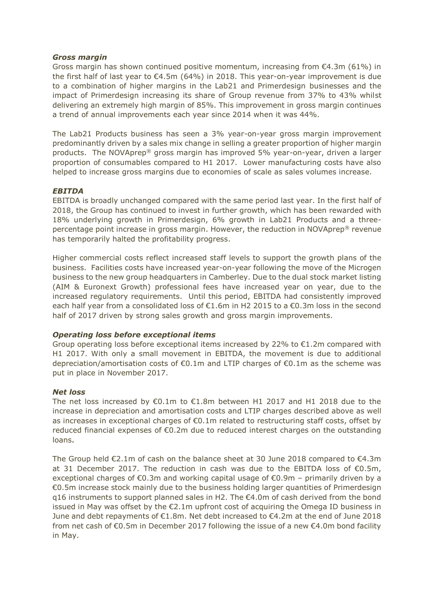### *Gross margin*

Gross margin has shown continued positive momentum, increasing from  $\epsilon$ 4.3m (61%) in the first half of last year to  $\epsilon$ 4.5m (64%) in 2018. This year-on-year improvement is due to a combination of higher margins in the Lab21 and Primerdesign businesses and the impact of Primerdesign increasing its share of Group revenue from 37% to 43% whilst delivering an extremely high margin of 85%. This improvement in gross margin continues a trend of annual improvements each year since 2014 when it was 44%.

The Lab21 Products business has seen a 3% year-on-year gross margin improvement predominantly driven by a sales mix change in selling a greater proportion of higher margin products. The NOVAprep® gross margin has improved 5% year-on-year, driven a larger proportion of consumables compared to H1 2017. Lower manufacturing costs have also helped to increase gross margins due to economies of scale as sales volumes increase.

## *EBITDA*

EBITDA is broadly unchanged compared with the same period last year. In the first half of 2018, the Group has continued to invest in further growth, which has been rewarded with 18% underlying growth in Primerdesign, 6% growth in Lab21 Products and a threepercentage point increase in gross margin. However, the reduction in NOVAprep® revenue has temporarily halted the profitability progress.

Higher commercial costs reflect increased staff levels to support the growth plans of the business. Facilities costs have increased year-on-year following the move of the Microgen business to the new group headquarters in Camberley. Due to the dual stock market listing (AIM & Euronext Growth) professional fees have increased year on year, due to the increased regulatory requirements. Until this period, EBITDA had consistently improved each half year from a consolidated loss of  $\epsilon$ 1.6m in H2 2015 to a  $\epsilon$ 0.3m loss in the second half of 2017 driven by strong sales growth and gross margin improvements.

### *Operating loss before exceptional items*

Group operating loss before exceptional items increased by 22% to  $E1.2m$  compared with H1 2017. With only a small movement in EBITDA, the movement is due to additional depreciation/amortisation costs of €0.1m and LTIP charges of €0.1m as the scheme was put in place in November 2017.

### *Net loss*

The net loss increased by  $\epsilon$ 0.1m to  $\epsilon$ 1.8m between H1 2017 and H1 2018 due to the increase in depreciation and amortisation costs and LTIP charges described above as well as increases in exceptional charges of  $\epsilon$ 0.1m related to restructuring staff costs, offset by reduced financial expenses of €0.2m due to reduced interest charges on the outstanding loans.

The Group held  $\epsilon$ 2.1m of cash on the balance sheet at 30 June 2018 compared to  $\epsilon$ 4.3m at 31 December 2017. The reduction in cash was due to the EBITDA loss of  $\epsilon$ 0.5m, exceptional charges of €0.3m and working capital usage of €0.9m – primarily driven by a €0.5m increase stock mainly due to the business holding larger quantities of Primerdesign q16 instruments to support planned sales in H2. The €4.0m of cash derived from the bond issued in May was offset by the  $\epsilon$ 2.1m upfront cost of acquiring the Omega ID business in June and debt repayments of €1.8m. Net debt increased to €4.2m at the end of June 2018 from net cash of €0.5m in December 2017 following the issue of a new €4.0m bond facility in May.